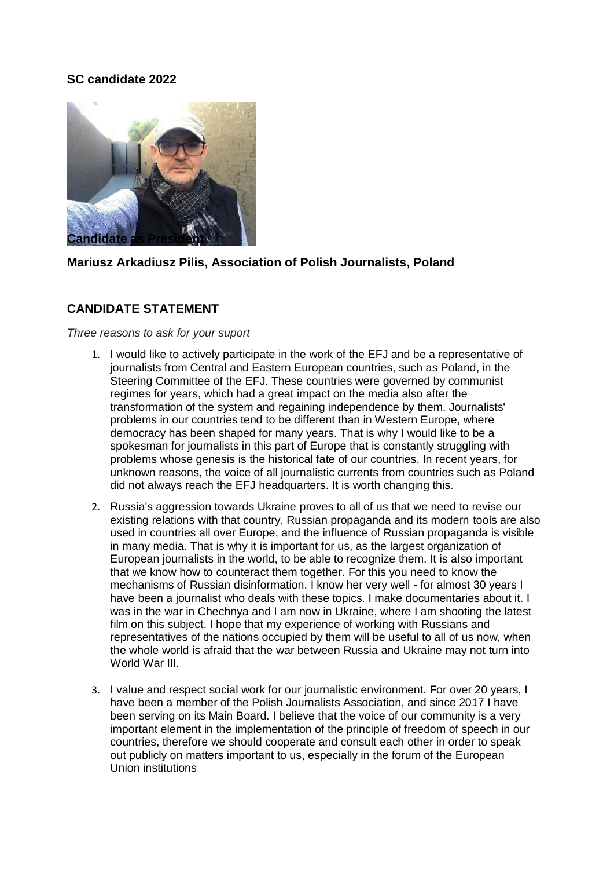## **SC candidate 2022**



# **Mariusz Arkadiusz Pilis, Association of Polish Journalists, Poland**

## **CANDIDATE STATEMENT**

#### *Three reasons to ask for your suport*

- 1. I would like to actively participate in the work of the EFJ and be a representative of journalists from Central and Eastern European countries, such as Poland, in the Steering Committee of the EFJ. These countries were governed by communist regimes for years, which had a great impact on the media also after the transformation of the system and regaining independence by them. Journalists' problems in our countries tend to be different than in Western Europe, where democracy has been shaped for many years. That is why I would like to be a spokesman for journalists in this part of Europe that is constantly struggling with problems whose genesis is the historical fate of our countries. In recent years, for unknown reasons, the voice of all journalistic currents from countries such as Poland did not always reach the EFJ headquarters. It is worth changing this.
- 2. Russia's aggression towards Ukraine proves to all of us that we need to revise our existing relations with that country. Russian propaganda and its modern tools are also used in countries all over Europe, and the influence of Russian propaganda is visible in many media. That is why it is important for us, as the largest organization of European journalists in the world, to be able to recognize them. It is also important that we know how to counteract them together. For this you need to know the mechanisms of Russian disinformation. I know her very well - for almost 30 years I have been a journalist who deals with these topics. I make documentaries about it. I was in the war in Chechnya and I am now in Ukraine, where I am shooting the latest film on this subject. I hope that my experience of working with Russians and representatives of the nations occupied by them will be useful to all of us now, when the whole world is afraid that the war between Russia and Ukraine may not turn into World War III.
- 3. I value and respect social work for our journalistic environment. For over 20 years, I have been a member of the Polish Journalists Association, and since 2017 I have been serving on its Main Board. I believe that the voice of our community is a very important element in the implementation of the principle of freedom of speech in our countries, therefore we should cooperate and consult each other in order to speak out publicly on matters important to us, especially in the forum of the European Union institutions